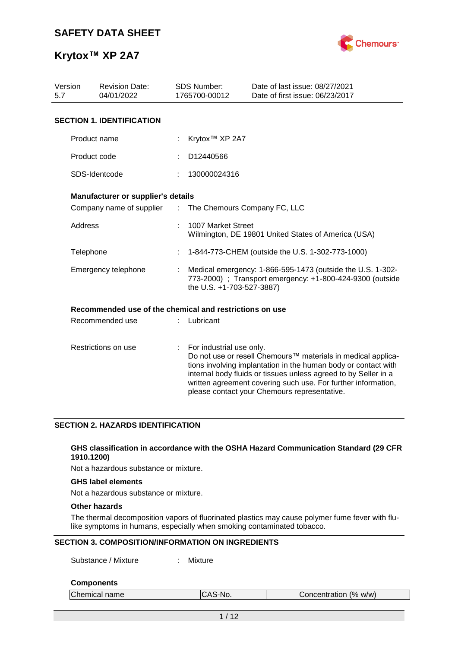

| Version<br>5.7      | <b>Revision Date:</b><br>04/01/2022                     |                           | <b>SDS Number:</b><br>1765700-00012                                                                                                                                                                                                                                                                                                            | Date of last issue: 08/27/2021<br>Date of first issue: 06/23/2017 |  |  |  |
|---------------------|---------------------------------------------------------|---------------------------|------------------------------------------------------------------------------------------------------------------------------------------------------------------------------------------------------------------------------------------------------------------------------------------------------------------------------------------------|-------------------------------------------------------------------|--|--|--|
|                     | <b>SECTION 1. IDENTIFICATION</b>                        |                           |                                                                                                                                                                                                                                                                                                                                                |                                                                   |  |  |  |
|                     | Product name                                            |                           | Krytox <sup>™</sup> XP 2A7                                                                                                                                                                                                                                                                                                                     |                                                                   |  |  |  |
|                     | Product code                                            |                           | D12440566                                                                                                                                                                                                                                                                                                                                      |                                                                   |  |  |  |
|                     | SDS-Identcode                                           |                           | 130000024316                                                                                                                                                                                                                                                                                                                                   |                                                                   |  |  |  |
|                     | Manufacturer or supplier's details                      |                           |                                                                                                                                                                                                                                                                                                                                                |                                                                   |  |  |  |
|                     | Company name of supplier                                | $\mathbb{Z}^{\mathbb{Z}}$ | The Chemours Company FC, LLC                                                                                                                                                                                                                                                                                                                   |                                                                   |  |  |  |
|                     | Address                                                 |                           | 1007 Market Street<br>Wilmington, DE 19801 United States of America (USA)                                                                                                                                                                                                                                                                      |                                                                   |  |  |  |
|                     | Telephone                                               |                           |                                                                                                                                                                                                                                                                                                                                                | 1-844-773-CHEM (outside the U.S. 1-302-773-1000)                  |  |  |  |
|                     | Emergency telephone                                     |                           | Medical emergency: 1-866-595-1473 (outside the U.S. 1-302-<br>773-2000) ; Transport emergency: +1-800-424-9300 (outside<br>the U.S. +1-703-527-3887)                                                                                                                                                                                           |                                                                   |  |  |  |
|                     | Recommended use of the chemical and restrictions on use |                           |                                                                                                                                                                                                                                                                                                                                                |                                                                   |  |  |  |
|                     | Recommended use                                         |                           | Lubricant                                                                                                                                                                                                                                                                                                                                      |                                                                   |  |  |  |
| Restrictions on use |                                                         | ÷                         | For industrial use only.<br>Do not use or resell Chemours™ materials in medical applica-<br>tions involving implantation in the human body or contact with<br>internal body fluids or tissues unless agreed to by Seller in a<br>written agreement covering such use. For further information,<br>please contact your Chemours representative. |                                                                   |  |  |  |

#### **SECTION 2. HAZARDS IDENTIFICATION**

#### **GHS classification in accordance with the OSHA Hazard Communication Standard (29 CFR 1910.1200)**

Not a hazardous substance or mixture.

#### **GHS label elements**

Not a hazardous substance or mixture.

#### **Other hazards**

The thermal decomposition vapors of fluorinated plastics may cause polymer fume fever with flulike symptoms in humans, especially when smoking contaminated tobacco.

#### **SECTION 3. COMPOSITION/INFORMATION ON INGREDIENTS**

Substance / Mixture : Mixture

#### **Components**

| Chemical name | S-No.<br>ΛC<br>пu. | Concentration (% w/w) |
|---------------|--------------------|-----------------------|
|               |                    |                       |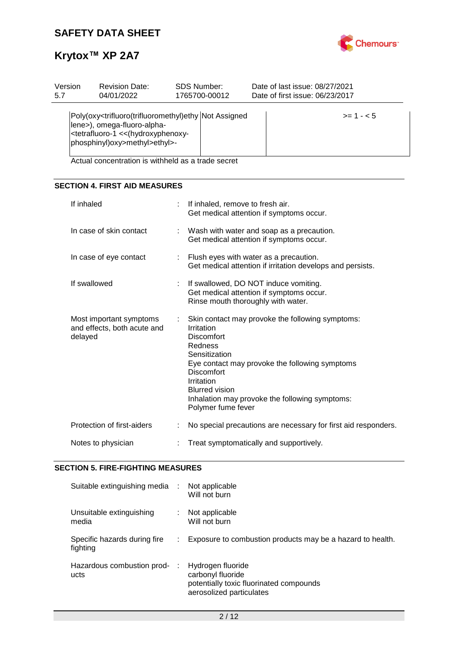

| Version<br>5.7 | <b>Revision Date:</b><br><b>SDS Number:</b><br>04/01/2022<br>1765700-00012                                                         |                                                                                                                                                | Date of last issue: 08/27/2021<br>Date of first issue: 06/23/2017 |            |  |  |  |
|----------------|------------------------------------------------------------------------------------------------------------------------------------|------------------------------------------------------------------------------------------------------------------------------------------------|-------------------------------------------------------------------|------------|--|--|--|
|                | lene>), omega-fluoro-alpha-<br><tetrafluoro-1 (hydroxyphenoxy-<br="" <<=""> phosphinyl)oxy&gt;methyl&gt;ethyl&gt;-</tetrafluoro-1> | Poly(oxy <trifluoro(trifluoromethyl)ethy assigned<="" not="" th=""><td></td><td><math>&gt;= 1 - 5</math></td></trifluoro(trifluoromethyl)ethy> |                                                                   | $>= 1 - 5$ |  |  |  |

Actual concentration is withheld as a trade secret

#### **SECTION 4. FIRST AID MEASURES**

| If inhaled                                                        | ÷ | If inhaled, remove to fresh air.<br>Get medical attention if symptoms occur.                                                                                                                                                                                                                   |
|-------------------------------------------------------------------|---|------------------------------------------------------------------------------------------------------------------------------------------------------------------------------------------------------------------------------------------------------------------------------------------------|
| In case of skin contact                                           |   | : Wash with water and soap as a precaution.<br>Get medical attention if symptoms occur.                                                                                                                                                                                                        |
| In case of eye contact                                            |   | : Flush eyes with water as a precaution.<br>Get medical attention if irritation develops and persists.                                                                                                                                                                                         |
| If swallowed                                                      |   | If swallowed, DO NOT induce vomiting.<br>Get medical attention if symptoms occur.<br>Rinse mouth thoroughly with water.                                                                                                                                                                        |
| Most important symptoms<br>and effects, both acute and<br>delayed |   | Skin contact may provoke the following symptoms:<br>Irritation<br><b>Discomfort</b><br>Redness<br>Sensitization<br>Eye contact may provoke the following symptoms<br>Discomfort<br>Irritation<br><b>Blurred vision</b><br>Inhalation may provoke the following symptoms:<br>Polymer fume fever |
| Protection of first-aiders                                        |   | No special precautions are necessary for first aid responders.                                                                                                                                                                                                                                 |
| Notes to physician                                                |   | Treat symptomatically and supportively.                                                                                                                                                                                                                                                        |

#### **SECTION 5. FIRE-FIGHTING MEASURES**

| Suitable extinguishing media :           |    | Not applicable<br>Will not burn                                                                               |
|------------------------------------------|----|---------------------------------------------------------------------------------------------------------------|
| Unsuitable extinguishing<br>media        |    | Not applicable<br>Will not burn                                                                               |
| Specific hazards during fire<br>fighting | ÷. | Exposure to combustion products may be a hazard to health.                                                    |
| Hazardous combustion prod-<br>ucts       |    | Hydrogen fluoride<br>carbonyl fluoride<br>potentially toxic fluorinated compounds<br>aerosolized particulates |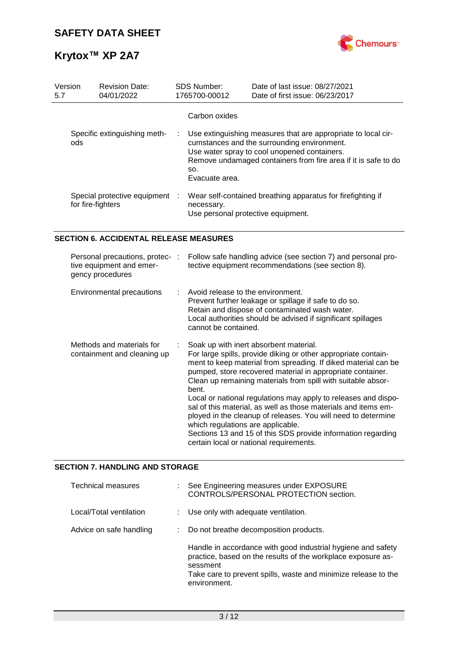

| Version<br>5.7                                      | <b>Revision Date:</b><br>04/01/2022 |  | <b>SDS Number:</b><br>1765700-00012                                                                             | Date of last issue: 08/27/2021<br>Date of first issue: 06/23/2017                                                                                                                                                              |  |  |
|-----------------------------------------------------|-------------------------------------|--|-----------------------------------------------------------------------------------------------------------------|--------------------------------------------------------------------------------------------------------------------------------------------------------------------------------------------------------------------------------|--|--|
| ods.                                                | Specific extinguishing meth-        |  | Carbon oxides<br>SO.<br>Evacuate area.                                                                          | Use extinguishing measures that are appropriate to local cir-<br>cumstances and the surrounding environment.<br>Use water spray to cool unopened containers.<br>Remove undamaged containers from fire area if it is safe to do |  |  |
| Special protective equipment :<br>for fire-fighters |                                     |  | Wear self-contained breathing apparatus for firefighting if<br>necessary.<br>Use personal protective equipment. |                                                                                                                                                                                                                                |  |  |

#### **SECTION 6. ACCIDENTAL RELEASE MEASURES**

| Personal precautions, protec-:<br>tive equipment and emer-<br>gency procedures | Follow safe handling advice (see section 7) and personal pro-<br>tective equipment recommendations (see section 8).                                                                                                                                                                                                                                                                                                                                                                                                                                                                                                                                                    |
|--------------------------------------------------------------------------------|------------------------------------------------------------------------------------------------------------------------------------------------------------------------------------------------------------------------------------------------------------------------------------------------------------------------------------------------------------------------------------------------------------------------------------------------------------------------------------------------------------------------------------------------------------------------------------------------------------------------------------------------------------------------|
| Environmental precautions                                                      | Avoid release to the environment.<br>Prevent further leakage or spillage if safe to do so.<br>Retain and dispose of contaminated wash water.<br>Local authorities should be advised if significant spillages<br>cannot be contained.                                                                                                                                                                                                                                                                                                                                                                                                                                   |
| Methods and materials for<br>containment and cleaning up                       | Soak up with inert absorbent material.<br>For large spills, provide diking or other appropriate contain-<br>ment to keep material from spreading. If diked material can be<br>pumped, store recovered material in appropriate container.<br>Clean up remaining materials from spill with suitable absor-<br>bent.<br>Local or national regulations may apply to releases and dispo-<br>sal of this material, as well as those materials and items em-<br>ployed in the cleanup of releases. You will need to determine<br>which regulations are applicable.<br>Sections 13 and 15 of this SDS provide information regarding<br>certain local or national requirements. |

#### **SECTION 7. HANDLING AND STORAGE**

| <b>Technical measures</b> | See Engineering measures under EXPOSURE<br>CONTROLS/PERSONAL PROTECTION section.                                                                                                                                           |
|---------------------------|----------------------------------------------------------------------------------------------------------------------------------------------------------------------------------------------------------------------------|
| Local/Total ventilation   | : Use only with adequate ventilation.                                                                                                                                                                                      |
| Advice on safe handling   | : Do not breathe decomposition products.                                                                                                                                                                                   |
|                           | Handle in accordance with good industrial hygiene and safety<br>practice, based on the results of the workplace exposure as-<br>sessment<br>Take care to prevent spills, waste and minimize release to the<br>environment. |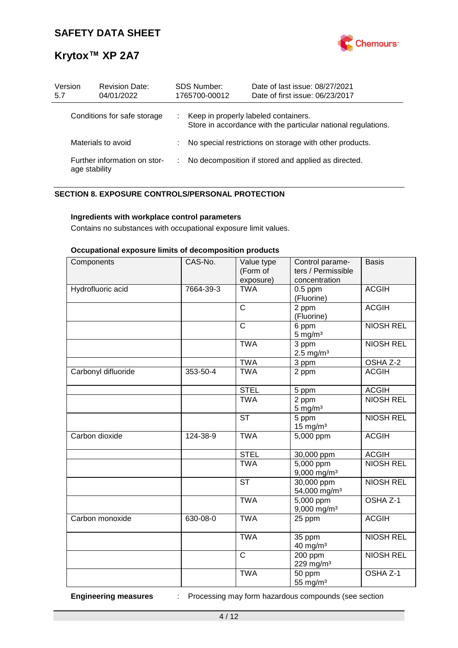

| Version<br>5.7                                | <b>Revision Date:</b><br>04/01/2022 |    | <b>SDS Number:</b><br>1765700-00012                                                                   | Date of last issue: 08/27/2021<br>Date of first issue: 06/23/2017 |  |  |  |
|-----------------------------------------------|-------------------------------------|----|-------------------------------------------------------------------------------------------------------|-------------------------------------------------------------------|--|--|--|
| Conditions for safe storage                   |                                     | ÷. | Keep in properly labeled containers.<br>Store in accordance with the particular national regulations. |                                                                   |  |  |  |
| Materials to avoid                            |                                     |    | No special restrictions on storage with other products.                                               |                                                                   |  |  |  |
| Further information on stor-<br>age stability |                                     | ÷  | No decomposition if stored and applied as directed.                                                   |                                                                   |  |  |  |

#### **SECTION 8. EXPOSURE CONTROLS/PERSONAL PROTECTION**

#### **Ingredients with workplace control parameters**

Contains no substances with occupational exposure limit values.

#### **Occupational exposure limits of decomposition products**

| Components          | CAS-No.   | Value type<br>(Form of  | Control parame-<br>ters / Permissible    | <b>Basis</b>     |
|---------------------|-----------|-------------------------|------------------------------------------|------------------|
| Hydrofluoric acid   | 7664-39-3 | exposure)<br><b>TWA</b> | concentration<br>$0.5$ ppm<br>(Fluorine) | <b>ACGIH</b>     |
|                     |           | $\overline{\text{c}}$   | $\overline{2}$ ppm<br>(Fluorine)         | <b>ACGIH</b>     |
|                     |           | $\overline{\text{c}}$   | 6 ppm<br>$5$ mg/m <sup>3</sup>           | <b>NIOSH REL</b> |
|                     |           | <b>TWA</b>              | 3 ppm<br>$2.5$ mg/m <sup>3</sup>         | <b>NIOSH REL</b> |
|                     |           | <b>TWA</b>              | 3 ppm                                    | OSHA Z-2         |
| Carbonyl difluoride | 353-50-4  | <b>TWA</b>              | 2 ppm                                    | <b>ACGIH</b>     |
|                     |           | <b>STEL</b>             | 5 ppm                                    | <b>ACGIH</b>     |
|                     |           | <b>TWA</b>              | 2 ppm<br>$5 \text{ mg/m}^3$              | <b>NIOSH REL</b> |
|                     |           | <b>ST</b>               | 5 ppm<br>$15$ mg/m <sup>3</sup>          | <b>NIOSH REL</b> |
| Carbon dioxide      | 124-38-9  | <b>TWA</b>              | 5,000 ppm                                | <b>ACGIH</b>     |
|                     |           | <b>STEL</b>             | 30,000 ppm                               | <b>ACGIH</b>     |
|                     |           | <b>TWA</b>              | $5,000$ ppm<br>$9,000$ mg/m <sup>3</sup> | <b>NIOSH REL</b> |
|                     |           | $\overline{\text{ST}}$  | 30,000 ppm<br>54,000 mg/m <sup>3</sup>   | <b>NIOSH REL</b> |
|                     |           | <b>TWA</b>              | 5,000 ppm<br>$9,000$ mg/m <sup>3</sup>   | OSHA Z-1         |
| Carbon monoxide     | 630-08-0  | <b>TWA</b>              | 25 ppm                                   | <b>ACGIH</b>     |
|                     |           | <b>TWA</b>              | 35 ppm<br>40 mg/m <sup>3</sup>           | <b>NIOSH REL</b> |
|                     |           | $\mathsf{C}$            | 200 ppm<br>229 mg/m <sup>3</sup>         | <b>NIOSH REL</b> |
|                     |           | <b>TWA</b>              | 50 ppm<br>55 mg/ $m3$                    | OSHA Z-1         |

**Engineering measures** : Processing may form hazardous compounds (see section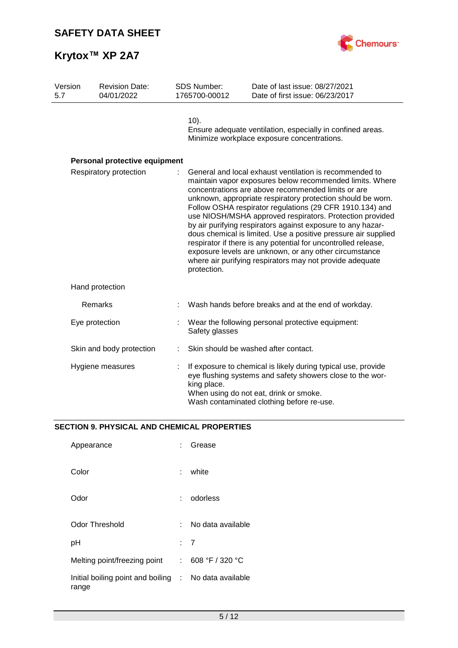

| Version<br>5.7 |                        | <b>Revision Date:</b><br>04/01/2022 | <b>SDS Number:</b><br>1765700-00012                                                                                                                                                                                                                                                                                                                                                                                                                                                                                                                                                                                                                                                                      | Date of last issue: 08/27/2021<br>Date of first issue: 06/23/2017                                                                                                                                                 |  |
|----------------|------------------------|-------------------------------------|----------------------------------------------------------------------------------------------------------------------------------------------------------------------------------------------------------------------------------------------------------------------------------------------------------------------------------------------------------------------------------------------------------------------------------------------------------------------------------------------------------------------------------------------------------------------------------------------------------------------------------------------------------------------------------------------------------|-------------------------------------------------------------------------------------------------------------------------------------------------------------------------------------------------------------------|--|
|                |                        |                                     | $10$ ).<br>Ensure adequate ventilation, especially in confined areas.<br>Minimize workplace exposure concentrations.                                                                                                                                                                                                                                                                                                                                                                                                                                                                                                                                                                                     |                                                                                                                                                                                                                   |  |
|                |                        | Personal protective equipment       |                                                                                                                                                                                                                                                                                                                                                                                                                                                                                                                                                                                                                                                                                                          |                                                                                                                                                                                                                   |  |
|                | Respiratory protection |                                     | General and local exhaust ventilation is recommended to<br>maintain vapor exposures below recommended limits. Where<br>concentrations are above recommended limits or are<br>unknown, appropriate respiratory protection should be worn.<br>Follow OSHA respirator regulations (29 CFR 1910.134) and<br>use NIOSH/MSHA approved respirators. Protection provided<br>by air purifying respirators against exposure to any hazar-<br>dous chemical is limited. Use a positive pressure air supplied<br>respirator if there is any potential for uncontrolled release,<br>exposure levels are unknown, or any other circumstance<br>where air purifying respirators may not provide adequate<br>protection. |                                                                                                                                                                                                                   |  |
|                |                        | Hand protection                     |                                                                                                                                                                                                                                                                                                                                                                                                                                                                                                                                                                                                                                                                                                          |                                                                                                                                                                                                                   |  |
|                |                        | Remarks                             |                                                                                                                                                                                                                                                                                                                                                                                                                                                                                                                                                                                                                                                                                                          | Wash hands before breaks and at the end of workday.                                                                                                                                                               |  |
|                |                        | Eye protection                      | Safety glasses                                                                                                                                                                                                                                                                                                                                                                                                                                                                                                                                                                                                                                                                                           | Wear the following personal protective equipment:                                                                                                                                                                 |  |
|                |                        | Skin and body protection            |                                                                                                                                                                                                                                                                                                                                                                                                                                                                                                                                                                                                                                                                                                          | Skin should be washed after contact.                                                                                                                                                                              |  |
|                |                        | Hygiene measures                    | king place.                                                                                                                                                                                                                                                                                                                                                                                                                                                                                                                                                                                                                                                                                              | If exposure to chemical is likely during typical use, provide<br>eye flushing systems and safety showers close to the wor-<br>When using do not eat, drink or smoke.<br>Wash contaminated clothing before re-use. |  |

### **SECTION 9. PHYSICAL AND CHEMICAL PROPERTIES**

| Appearance                                                     |     | Grease            |
|----------------------------------------------------------------|-----|-------------------|
| Color                                                          | t.  | white             |
| Odor                                                           |     | odorless          |
| Odor Threshold                                                 | × 1 | No data available |
| рH                                                             |     | : 7               |
| Melting point/freezing point                                   | t.  | 608 °F / 320 °C   |
| Initial boiling point and boiling : No data available<br>range |     |                   |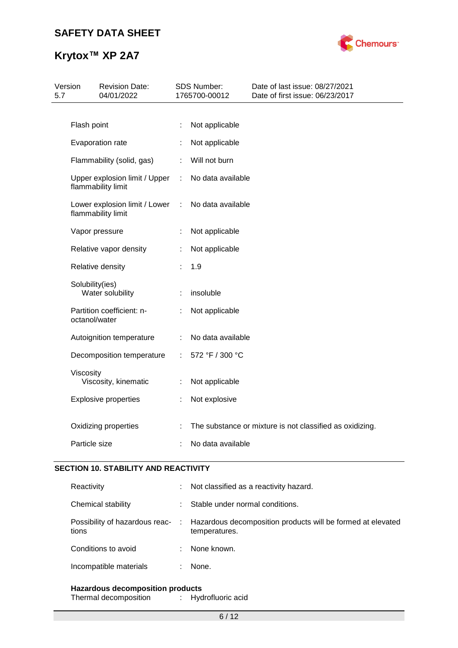

| Version<br>5.7 |                                                     | <b>Revision Date:</b><br>04/01/2022                 |   | SDS Number:<br>1765700-00012 | Date of last issue: 08/27/2021<br>Date of first issue: 06/23/2017 |  |
|----------------|-----------------------------------------------------|-----------------------------------------------------|---|------------------------------|-------------------------------------------------------------------|--|
|                | Flash point                                         |                                                     |   | Not applicable               |                                                                   |  |
|                |                                                     | Evaporation rate                                    |   | Not applicable               |                                                                   |  |
|                | Flammability (solid, gas)                           |                                                     |   | Will not burn                |                                                                   |  |
|                | Upper explosion limit / Upper<br>flammability limit |                                                     |   | No data available            |                                                                   |  |
|                |                                                     | Lower explosion limit / Lower<br>flammability limit | ÷ | No data available            |                                                                   |  |
|                |                                                     | Vapor pressure                                      |   | Not applicable               |                                                                   |  |
|                |                                                     | Relative vapor density                              |   | Not applicable               |                                                                   |  |
|                |                                                     | Relative density                                    |   | 1.9                          |                                                                   |  |
|                | Solubility(ies)                                     | Water solubility                                    |   | insoluble                    |                                                                   |  |
|                | octanol/water                                       | Partition coefficient: n-                           | ÷ | Not applicable               |                                                                   |  |
|                |                                                     | Autoignition temperature                            |   | No data available            |                                                                   |  |
|                |                                                     | Decomposition temperature                           | ÷ | 572 °F / 300 °C              |                                                                   |  |
|                | Viscosity                                           | Viscosity, kinematic                                |   | Not applicable               |                                                                   |  |
|                |                                                     | <b>Explosive properties</b>                         | ÷ | Not explosive                |                                                                   |  |
|                |                                                     | Oxidizing properties                                |   |                              | The substance or mixture is not classified as oxidizing.          |  |
|                | Particle size                                       |                                                     |   | No data available            |                                                                   |  |

#### **SECTION 10. STABILITY AND REACTIVITY**

| Reactivity                                | Not classified as a reactivity hazard.                                       |
|-------------------------------------------|------------------------------------------------------------------------------|
| Chemical stability                        | Stable under normal conditions.                                              |
| Possibility of hazardous reac- :<br>tions | Hazardous decomposition products will be formed at elevated<br>temperatures. |
| Conditions to avoid                       | None known.                                                                  |
| Incompatible materials                    | None.                                                                        |
|                                           |                                                                              |

**Hazardous decomposition products** Thermal decomposition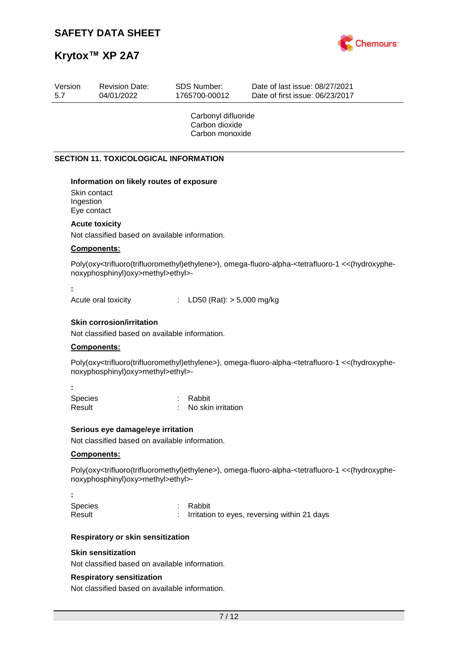

| Version<br>5.7                           | <b>Revision Date:</b><br>04/01/2022          | <b>SDS Number:</b><br>1765700-00012                      | Date of last issue: 08/27/2021<br>Date of first issue: 06/23/2017 |
|------------------------------------------|----------------------------------------------|----------------------------------------------------------|-------------------------------------------------------------------|
|                                          |                                              | Carbonyl difluoride<br>Carbon dioxide<br>Carbon monoxide |                                                                   |
|                                          | <b>SECTION 11. TOXICOLOGICAL INFORMATION</b> |                                                          |                                                                   |
| Skin contact<br>Ingestion<br>Eye contact | Information on likely routes of exposure     |                                                          |                                                                   |

#### **Acute toxicity**

Not classified based on available information.

#### **Components:**

Poly(oxy<trifluoro(trifluoromethyl)ethylene>), omega-fluoro-alpha-<tetrafluoro-1 <<(hydroxyphenoxyphosphinyl)oxy>methyl>ethyl>-

**:**

**:**

Acute oral toxicity : LD50 (Rat): > 5,000 mg/kg

#### **Skin corrosion/irritation**

Not classified based on available information.

#### **Components:**

Poly(oxy<trifluoro(trifluoromethyl)ethylene>), omega-fluoro-alpha-<tetrafluoro-1 <<(hydroxyphenoxyphosphinyl)oxy>methyl>ethyl>-

| <b>Species</b> | : Rabbit           |
|----------------|--------------------|
| Result         | No skin irritation |
|                |                    |

#### **Serious eye damage/eye irritation**

Not classified based on available information.

#### **Components:**

Poly(oxy<trifluoro(trifluoromethyl)ethylene>), omega-fluoro-alpha-<tetrafluoro-1 <<(hydroxyphenoxyphosphinyl)oxy>methyl>ethyl>-

| <b>Species</b><br>Result | : Rabbit<br>: Irritation to eyes, reversing within 21 days |
|--------------------------|------------------------------------------------------------|

#### **Respiratory or skin sensitization**

#### **Skin sensitization**

Not classified based on available information.

#### **Respiratory sensitization**

Not classified based on available information.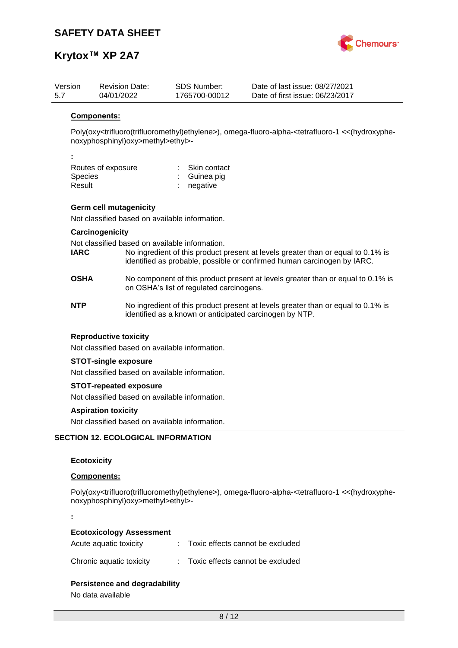

| Version<br>5.7 |                                                                                                                                                                                                                              | <b>Revision Date:</b><br>04/01/2022            | SDS Number:<br>1765700-00012             | Date of last issue: 08/27/2021<br>Date of first issue: 06/23/2017                                                                           |  |  |  |  |  |
|----------------|------------------------------------------------------------------------------------------------------------------------------------------------------------------------------------------------------------------------------|------------------------------------------------|------------------------------------------|---------------------------------------------------------------------------------------------------------------------------------------------|--|--|--|--|--|
|                | <b>Components:</b>                                                                                                                                                                                                           |                                                |                                          |                                                                                                                                             |  |  |  |  |  |
|                | Poly(oxy <trifluoro(trifluoromethyl)ethylene>), omega-fluoro-alpha-<tetrafluoro-1 <<(hydroxyphe-<br="">noxyphosphinyl)oxy&gt;methyl&gt;ethyl&gt;-</tetrafluoro-1></trifluoro(trifluoromethyl)ethylene>                       |                                                |                                          |                                                                                                                                             |  |  |  |  |  |
|                |                                                                                                                                                                                                                              |                                                |                                          |                                                                                                                                             |  |  |  |  |  |
|                |                                                                                                                                                                                                                              | Routes of exposure                             | Skin contact                             |                                                                                                                                             |  |  |  |  |  |
|                | Species                                                                                                                                                                                                                      |                                                | Guinea pig                               |                                                                                                                                             |  |  |  |  |  |
|                | Result                                                                                                                                                                                                                       |                                                | negative                                 |                                                                                                                                             |  |  |  |  |  |
|                |                                                                                                                                                                                                                              | <b>Germ cell mutagenicity</b>                  |                                          |                                                                                                                                             |  |  |  |  |  |
|                |                                                                                                                                                                                                                              | Not classified based on available information. |                                          |                                                                                                                                             |  |  |  |  |  |
|                |                                                                                                                                                                                                                              | Carcinogenicity                                |                                          |                                                                                                                                             |  |  |  |  |  |
|                | Not classified based on available information.<br><b>IARC</b><br>No ingredient of this product present at levels greater than or equal to 0.1% is<br>identified as probable, possible or confirmed human carcinogen by IARC. |                                                |                                          |                                                                                                                                             |  |  |  |  |  |
|                | <b>OSHA</b>                                                                                                                                                                                                                  |                                                | on OSHA's list of regulated carcinogens. | No component of this product present at levels greater than or equal to 0.1% is                                                             |  |  |  |  |  |
|                | <b>NTP</b>                                                                                                                                                                                                                   |                                                |                                          | No ingredient of this product present at levels greater than or equal to 0.1% is<br>identified as a known or anticipated carcinogen by NTP. |  |  |  |  |  |
|                |                                                                                                                                                                                                                              | <b>Reproductive toxicity</b>                   |                                          |                                                                                                                                             |  |  |  |  |  |
|                | Not classified based on available information.                                                                                                                                                                               |                                                |                                          |                                                                                                                                             |  |  |  |  |  |
|                | <b>STOT-single exposure</b>                                                                                                                                                                                                  |                                                |                                          |                                                                                                                                             |  |  |  |  |  |
|                | Not classified based on available information.                                                                                                                                                                               |                                                |                                          |                                                                                                                                             |  |  |  |  |  |
|                | <b>STOT-repeated exposure</b>                                                                                                                                                                                                |                                                |                                          |                                                                                                                                             |  |  |  |  |  |
|                | Not classified based on available information.                                                                                                                                                                               |                                                |                                          |                                                                                                                                             |  |  |  |  |  |
|                |                                                                                                                                                                                                                              | <b>Aspiration toxicity</b>                     |                                          |                                                                                                                                             |  |  |  |  |  |
|                |                                                                                                                                                                                                                              | Not classified based on available information. |                                          |                                                                                                                                             |  |  |  |  |  |
|                |                                                                                                                                                                                                                              | <b>SECTION 12. ECOLOGICAL INFORMATION</b>      |                                          |                                                                                                                                             |  |  |  |  |  |
|                |                                                                                                                                                                                                                              |                                                |                                          |                                                                                                                                             |  |  |  |  |  |
|                | <b>Ecotoxicity</b>                                                                                                                                                                                                           |                                                |                                          |                                                                                                                                             |  |  |  |  |  |

#### **Components:**

Poly(oxy<trifluoro(trifluoromethyl)ethylene>), omega-fluoro-alpha-<tetrafluoro-1 <<(hydroxyphenoxyphosphinyl)oxy>methyl>ethyl>-

**:**

#### **Ecotoxicology Assessment**

| Acute aquatic toxicity   | Toxic effects cannot be excluded |
|--------------------------|----------------------------------|
| Chronic aquatic toxicity | Toxic effects cannot be excluded |

#### **Persistence and degradability**

No data available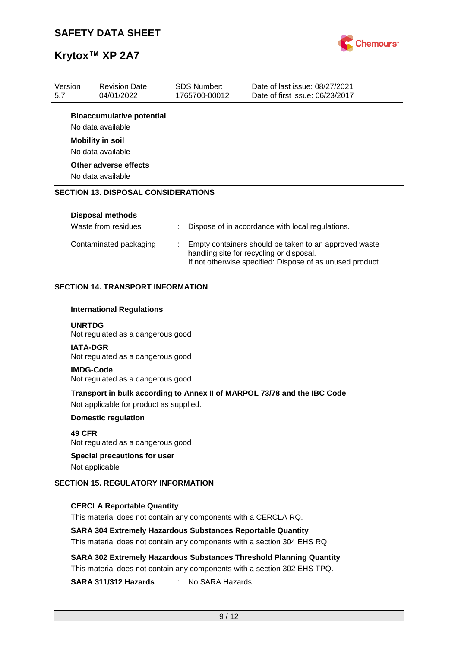

| Version<br>5.7 | <b>Revision Date:</b><br>04/01/2022                   | SDS Number:<br>1765700-00012 | Date of last issue: 08/27/2021<br>Date of first issue: 06/23/2017 |
|----------------|-------------------------------------------------------|------------------------------|-------------------------------------------------------------------|
|                | <b>Bioaccumulative potential</b><br>No data available |                              |                                                                   |
|                | <b>Mobility in soil</b><br>No data available          |                              |                                                                   |
|                | Other adverse effects<br>No data available            |                              |                                                                   |
|                | <b>SECTION 13. DISPOSAL CONSIDERATIONS</b>            |                              |                                                                   |
|                | Disposal methods<br>Waste from residues               | ÷                            | Dispose of in accordance with local regulations.                  |

Contaminated packaging : Empty containers should be taken to an approved waste

handling site for recycling or disposal.

If not otherwise specified: Dispose of as unused product.

#### **SECTION 14. TRANSPORT INFORMATION**

#### **International Regulations**

**UNRTDG** Not regulated as a dangerous good

**IATA-DGR** Not regulated as a dangerous good

**IMDG-Code** Not regulated as a dangerous good

**Transport in bulk according to Annex II of MARPOL 73/78 and the IBC Code** Not applicable for product as supplied.

**Domestic regulation**

**49 CFR** Not regulated as a dangerous good

#### **Special precautions for user**

Not applicable

#### **SECTION 15. REGULATORY INFORMATION**

#### **CERCLA Reportable Quantity**

This material does not contain any components with a CERCLA RQ.

#### **SARA 304 Extremely Hazardous Substances Reportable Quantity**

This material does not contain any components with a section 304 EHS RQ.

**SARA 302 Extremely Hazardous Substances Threshold Planning Quantity** This material does not contain any components with a section 302 EHS TPQ.

**SARA 311/312 Hazards** : No SARA Hazards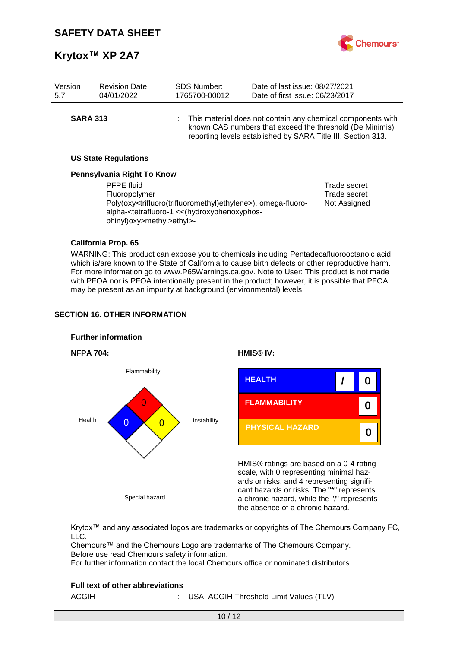

| Version<br>5.7  | <b>Revision Date:</b><br>04/01/2022        | <b>SDS Number:</b><br>1765700-00012                                                                                                                                                                                              | Date of last issue: 08/27/2021<br>Date of first issue: 06/23/2017                                                                                                                         |                              |
|-----------------|--------------------------------------------|----------------------------------------------------------------------------------------------------------------------------------------------------------------------------------------------------------------------------------|-------------------------------------------------------------------------------------------------------------------------------------------------------------------------------------------|------------------------------|
| <b>SARA 313</b> |                                            |                                                                                                                                                                                                                                  | : This material does not contain any chemical components with<br>known CAS numbers that exceed the threshold (De Minimis)<br>reporting levels established by SARA Title III, Section 313. |                              |
|                 | <b>US State Regulations</b>                |                                                                                                                                                                                                                                  |                                                                                                                                                                                           |                              |
|                 | Pennsylvania Right To Know                 |                                                                                                                                                                                                                                  |                                                                                                                                                                                           |                              |
|                 | <b>PFPE fluid</b>                          |                                                                                                                                                                                                                                  |                                                                                                                                                                                           | Trade secret                 |
|                 | Fluoropolymer<br>phinyl)oxy>methyl>ethyl>- | Poly(oxy <trifluoro(trifluoromethyl)ethylene>), omega-fluoro-<br/>alpha-<tetrafluoro-1 (hydroxyphenoxyphos-<="" <<="" th=""><th></th><th>Trade secret<br/>Not Assigned</th></tetrafluoro-1></trifluoro(trifluoromethyl)ethylene> |                                                                                                                                                                                           | Trade secret<br>Not Assigned |
|                 | California Prop. 65                        |                                                                                                                                                                                                                                  |                                                                                                                                                                                           |                              |

WARNING: This product can expose you to chemicals including Pentadecafluorooctanoic acid, which is/are known to the State of California to cause birth defects or other reproductive harm. For more information go to www.P65Warnings.ca.gov. Note to User: This product is not made with PFOA nor is PFOA intentionally present in the product; however, it is possible that PFOA may be present as an impurity at background (environmental) levels.

#### **SECTION 16. OTHER INFORMATION**



Krytox™ and any associated logos are trademarks or copyrights of The Chemours Company FC, LLC.

Chemours™ and the Chemours Logo are trademarks of The Chemours Company. Before use read Chemours safety information.

For further information contact the local Chemours office or nominated distributors.

#### **Full text of other abbreviations**

| ACGIH |  |  | USA. ACGIH Threshold Limit Values (TLV) |  |  |  |
|-------|--|--|-----------------------------------------|--|--|--|
|-------|--|--|-----------------------------------------|--|--|--|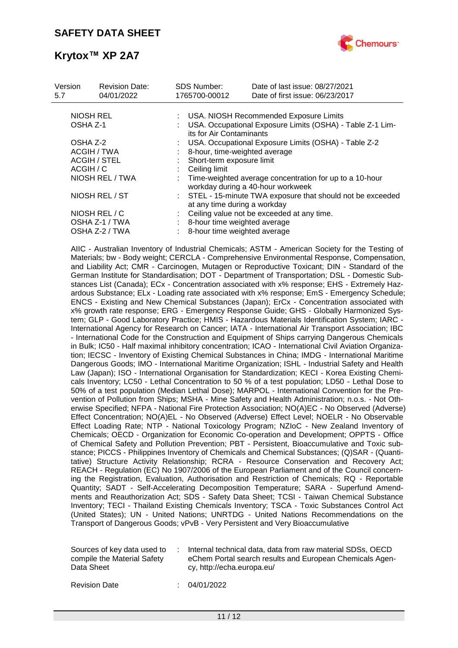

| Version<br>5.7 | <b>Revision Date:</b><br>04/01/2022 | <b>SDS Number:</b><br>1765700-00012 | Date of last issue: 08/27/2021<br>Date of first issue: 06/23/2017                            |  |  |  |  |
|----------------|-------------------------------------|-------------------------------------|----------------------------------------------------------------------------------------------|--|--|--|--|
|                |                                     |                                     |                                                                                              |  |  |  |  |
|                | NIOSH REL                           |                                     | USA. NIOSH Recommended Exposure Limits                                                       |  |  |  |  |
| OSHA Z-1       |                                     |                                     | USA. Occupational Exposure Limits (OSHA) - Table Z-1 Lim-<br>its for Air Contaminants        |  |  |  |  |
| OSHA Z-2       |                                     |                                     | USA. Occupational Exposure Limits (OSHA) - Table Z-2                                         |  |  |  |  |
|                | ACGIH / TWA                         |                                     | 8-hour, time-weighted average                                                                |  |  |  |  |
|                | <b>ACGIH / STEL</b>                 | Short-term exposure limit           |                                                                                              |  |  |  |  |
| ACGIH / C      |                                     | Ceiling limit                       |                                                                                              |  |  |  |  |
|                | NIOSH REL / TWA                     |                                     | Time-weighted average concentration for up to a 10-hour<br>workday during a 40-hour workweek |  |  |  |  |
|                | NIOSH REL / ST                      |                                     | : STEL - 15-minute TWA exposure that should not be exceeded<br>at any time during a workday  |  |  |  |  |
| NIOSH REL / C  |                                     |                                     | Ceiling value not be exceeded at any time.                                                   |  |  |  |  |
|                | OSHA Z-1 / TWA                      |                                     | 8-hour time weighted average                                                                 |  |  |  |  |
|                | OSHA Z-2 / TWA                      |                                     | 8-hour time weighted average                                                                 |  |  |  |  |
|                |                                     |                                     |                                                                                              |  |  |  |  |

AIIC - Australian Inventory of Industrial Chemicals; ASTM - American Society for the Testing of Materials; bw - Body weight; CERCLA - Comprehensive Environmental Response, Compensation, and Liability Act; CMR - Carcinogen, Mutagen or Reproductive Toxicant; DIN - Standard of the German Institute for Standardisation; DOT - Department of Transportation; DSL - Domestic Substances List (Canada); ECx - Concentration associated with x% response; EHS - Extremely Hazardous Substance; ELx - Loading rate associated with x% response; EmS - Emergency Schedule; ENCS - Existing and New Chemical Substances (Japan); ErCx - Concentration associated with x% growth rate response; ERG - Emergency Response Guide; GHS - Globally Harmonized System; GLP - Good Laboratory Practice; HMIS - Hazardous Materials Identification System; IARC - International Agency for Research on Cancer; IATA - International Air Transport Association; IBC - International Code for the Construction and Equipment of Ships carrying Dangerous Chemicals in Bulk; IC50 - Half maximal inhibitory concentration; ICAO - International Civil Aviation Organization; IECSC - Inventory of Existing Chemical Substances in China; IMDG - International Maritime Dangerous Goods; IMO - International Maritime Organization; ISHL - Industrial Safety and Health Law (Japan); ISO - International Organisation for Standardization; KECI - Korea Existing Chemicals Inventory; LC50 - Lethal Concentration to 50 % of a test population; LD50 - Lethal Dose to 50% of a test population (Median Lethal Dose); MARPOL - International Convention for the Prevention of Pollution from Ships; MSHA - Mine Safety and Health Administration; n.o.s. - Not Otherwise Specified; NFPA - National Fire Protection Association; NO(A)EC - No Observed (Adverse) Effect Concentration; NO(A)EL - No Observed (Adverse) Effect Level; NOELR - No Observable Effect Loading Rate; NTP - National Toxicology Program; NZIoC - New Zealand Inventory of Chemicals; OECD - Organization for Economic Co-operation and Development; OPPTS - Office of Chemical Safety and Pollution Prevention; PBT - Persistent, Bioaccumulative and Toxic substance; PICCS - Philippines Inventory of Chemicals and Chemical Substances; (Q)SAR - (Quantitative) Structure Activity Relationship; RCRA - Resource Conservation and Recovery Act; REACH - Regulation (EC) No 1907/2006 of the European Parliament and of the Council concerning the Registration, Evaluation, Authorisation and Restriction of Chemicals; RQ - Reportable Quantity; SADT - Self-Accelerating Decomposition Temperature; SARA - Superfund Amendments and Reauthorization Act; SDS - Safety Data Sheet; TCSI - Taiwan Chemical Substance Inventory; TECI - Thailand Existing Chemicals Inventory; TSCA - Toxic Substances Control Act (United States); UN - United Nations; UNRTDG - United Nations Recommendations on the Transport of Dangerous Goods; vPvB - Very Persistent and Very Bioaccumulative

| Sources of key data used to<br>compile the Material Safety<br>Data Sheet |  | Internal technical data, data from raw material SDSs, OECD<br>eChem Portal search results and European Chemicals Agen-<br>cy, http://echa.europa.eu/ |
|--------------------------------------------------------------------------|--|------------------------------------------------------------------------------------------------------------------------------------------------------|
|--------------------------------------------------------------------------|--|------------------------------------------------------------------------------------------------------------------------------------------------------|

Revision Date : 04/01/2022